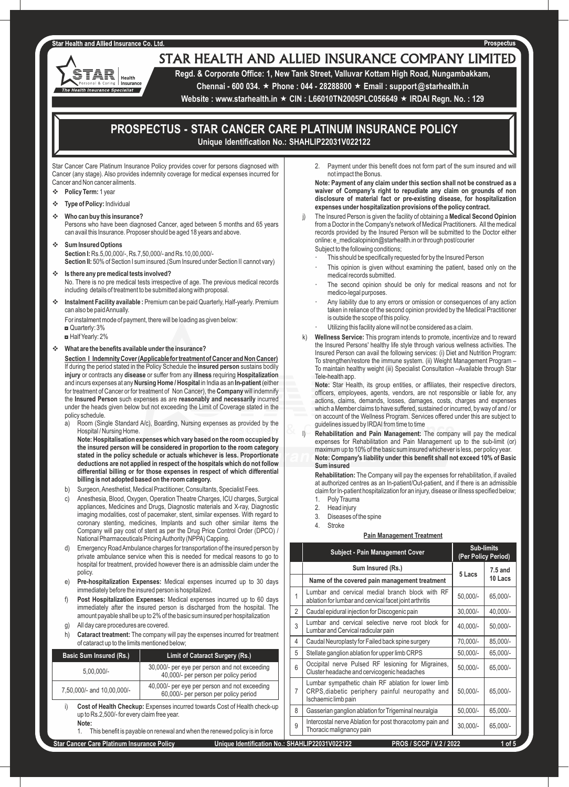## **Star Health and Allied Insurance Co. Ltd**

'AR Health Insurance **Health Insurance Specialist** 

# STAR HEALTH AND ALLIED INSURANCE COMPANY LIMITED

**Regd. & Corporate Office: 1, New Tank Street, Valluvar Kottam High Road, Nungambakkam, Chennai - 600 034.** « **Phone : 044 - 28288800** « **Email : support@starhealth.in** 

**Website : www.starhealth.in ★ CIN : L66010TN2005PLC056649 ★ IRDAI Regn. No. : 129** 

# **PROSPECTUS - STAR CANCER CARE PLATINUM INSURANCE POLICY Unique Identification No.: SHAHLIP22031V022122**

Star Cancer Care Platinum Insurance Policy provides cover for persons diagnosed with Cancer (any stage). Also provides indemnity coverage for medical expenses incurred for Cancer and Non cancer ailments.

- Policy Term: 1 year
- **Type of Policy: Individual**
- v **Who can buy this insurance?**

Persons who have been diagnosed Cancer, aged between 5 months and 65 years can avail this Insurance. Proposer should be aged 18 years and above.

- v **Sum Insured Options Section I:** Rs.5,00,000/-, Rs.7,50,000/- and Rs.10,00,000/- **Section II:** 50% of Section I sum insured.(Sum Insured under Section II cannot vary)
- Is there any pre medical tests involved? No. There is no pre medical tests irrespective of age. The previous medical records including details of treatment to be submitted along with proposal.
- **\*** Instalment Facility available : Premium can be paid Quarterly, Half-yearly. Premium can also be paid Annually.

For instalment mode of payment, there will be loading as given below:

◘ Quarterly: 3%

◘ Half Yearly: 2%

# $\div$  What are the benefits available under the insurance?

**Section I Indemnity Cover (Applicable for treatment of Cancer and Non Cancer)** If during the period stated in the Policy Schedule the **insured person** sustains bodily **injury** or contracts any **disease** or suffer from any **illness** requiring **Hospitalization** and incurs expenses at any **Nursing Home / Hospital** in India as an **In-patient** (either for treatment of Cancer or for treatment of Non Cancer), the **Company** will indemnify the **Insured Person** such expenses as are **reasonably and necessarily** incurred under the heads given below but not exceeding the Limit of Coverage stated in the policy schedule.

a) Room (Single Standard A/c), Boarding, Nursing expenses as provided by the Hospital / Nursing Home.

**Note: Hospitalisation expenses which vary based on the room occupied by the insured person will be considered in proportion to the room category stated in the policy schedule or actuals whichever is less. Proportionate deductions are not applied in respect of the hospitals which do not follow differential billing or for those expenses in respect of which differential billing is not adopted based on the room category.**

- b) Surgeon, Anesthetist, Medical Practitioner, Consultants, Specialist Fees.
- c) Anesthesia, Blood, Oxygen, Operation Theatre Charges, ICU charges, Surgical appliances, Medicines and Drugs, Diagnostic materials and X-ray, Diagnostic imaging modalities, cost of pacemaker, stent, similar expenses. With regard to coronary stenting, medicines, Implants and such other similar items the Company will pay cost of stent as per the Drug Price Control Order (DPCO) / National Pharmaceuticals Pricing Authority (NPPA) Capping.
- d) Emergency Road Ambulance charges for transportation of the insured person by private ambulance service when this is needed for medical reasons to go to hospital for treatment, provided however there is an admissible claim under the policy.
- e) **Pre-hospitalization Expenses:** Medical expenses incurred up to 30 days immediately before the insured person is hospitalized.
- **Post Hospitalization Expenses:** Medical expenses incurred up to 60 days immediately after the insured person is discharged from the hospital. The amount payable shall be up to 2% of the basic sum insured per hospitalization
- g) All day care procedures are covered.

h) **Cataract treatment:** The company will pay the expenses incurred for treatment of cataract up to the limits mentioned below;

| <b>Basic Sum Insured (Rs.)</b> | <b>Limit of Cataract Surgery (Rs.)</b>                                                 |
|--------------------------------|----------------------------------------------------------------------------------------|
| $5.00.000/-$                   | 30,000/- per eye per person and not exceeding<br>40,000/- per person per policy period |
| 7,50,000/- and 10,00,000/-     | 40,000/- per eye per person and not exceeding<br>60,000/- per person per policy period |

**Cost of Health Checkup:** Expenses incurred towards Cost of Health check-up up to Rs.2,500/- for every claim free year. **Note:**

1. This benefit is payable on renewal and when the renewed policy is in force

2. Payment under this benefit does not form part of the sum insured and will not impact the Bonus.

**Note: Payment of any claim under this section shall not be construed as a waiver of Company's right to repudiate any claim on grounds of non disclosure of material fact or pre-existing disease, for hospitalization expenses under hospitalization provisions of the policy contract.**

- j) The Insured Person is given the facility of obtaining a **Medical Second Opinion** from a Doctor in the Company's network of Medical Practitioners. All the medical records provided by the Insured Person will be submitted to the Doctor either online: e\_medicalopinion@starhealth.in or through post/courier Subject to the following conditions;
	- This should be specifically requested for by the Insured Person
	- This opinion is given without examining the patient, based only on the medical records submitted.
	- The second opinion should be only for medical reasons and not for medico-legal purposes.
	- Any liability due to any errors or omission or consequences of any action taken in reliance of the second opinion provided by the Medical Practitioner is outside the scope of this policy.
	- Utilizing this facility alone will not be considered as a claim.
- k) **Wellness Service:** This program intends to promote, incentivize and to reward the Insured Persons' healthy life style through various wellness activities. The Insured Person can avail the following services: (i) Diet and Nutrition Program: To strengthen/restore the immune system. (ii) Weight Management Program – To maintain healthy weight (iii) Specialist Consultation –Available through Star Tele-health app.

**Note:** Star Health, its group entities, or affiliates, their respective directors, officers, employees, agents, vendors, are not responsible or liable for, any actions, claims, demands, losses, damages, costs, charges and expenses which a Member claims to have suffered, sustained or incurred, by way of and / or on account of the Wellness Program. Services offered under this are subject to guidelines issued by IRDAI from time to time

l) **Rehabilitation and Pain Management:** The company will pay the medical expenses for Rehabilitation and Pain Management up to the sub-limit (or) maximum up to 10% of the basic sum insured whichever is less, per policy year. **Note: Company's liability under this benefit shall not exceed 10% of Basic Sum insured**

**Rehabilitation:** The Company will pay the expenses for rehabilitation, if availed at authorized centres as an In-patient/Out-patient, and if there is an admissible claim for In-patient hospitalization for an injury, disease or illness specified below; 1. Poly Trauma

- 2. Head injury
- 3. Diseases of the spine
- 4. Stroke

# **Pain Management Treatment**

|                | <b>Subject - Pain Management Cover</b>                                                                                        | <b>Sub-limits</b><br>(Per Policy Period) |            |
|----------------|-------------------------------------------------------------------------------------------------------------------------------|------------------------------------------|------------|
|                | Sum Insured (Rs.)                                                                                                             | 5 Lacs                                   | 7.5 and    |
|                | Name of the covered pain management treatment                                                                                 |                                          | 10 Lacs    |
| $\mathbf{1}$   | Lumbar and cervical medial branch block with RF<br>ablation for lumbar and cervical facet joint arthritis                     | $50,000/-$                               | 65,000/-   |
| $\overline{2}$ | Caudal epidural injection for Discogenic pain                                                                                 | $30,000/-$                               | 40,000/-   |
| 3              | Lumbar and cervical selective nerve root block for<br>Lumbar and Cervical radicular pain                                      | 40,000/-                                 | $50,000/-$ |
| $\overline{4}$ | Caudal Neuroplasty for Failed back spine surgery                                                                              | 70,000/-                                 | 85,000/-   |
| 5              | Stellate ganglion ablation for upper limb CRPS                                                                                | 50,000/-                                 | 65,000/-   |
| 6              | Occipital nerve Pulsed RF lesioning for Migraines,<br>Cluster headache and cervicogenic headaches                             | $50,000/-$                               | 65,000/-   |
| $\overline{7}$ | Lumbar sympathetic chain RF ablation for lower limb<br>CRPS, diabetic periphery painful neuropathy and<br>Ischaemic limb pain | $50,000/-$                               | 65,000/-   |
| 8              | Gasserian ganglion ablation for Trigeminal neuralgia                                                                          | 50,000/-                                 | 65,000/-   |
| 9              | Intercostal nerve Ablation for post thoracotomy pain and<br>Thoracic malignancy pain                                          | 30,000/-                                 | 65,000/-   |
|                | $\frac{1}{2}$<br>IAAABIIIAIAAA<br>----                                                                                        |                                          |            |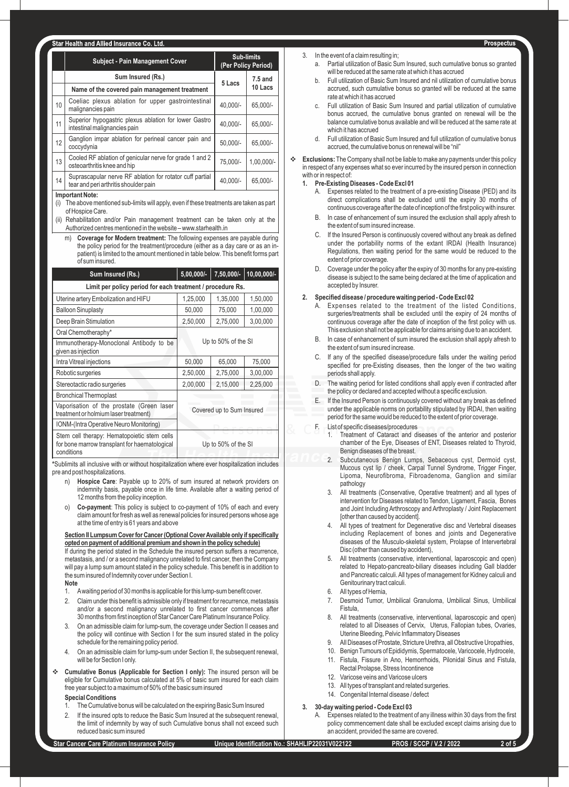|    | <b>Subject - Pain Management Cover</b>                                                            | <b>Sub-limits</b><br>(Per Policy Period) |              |
|----|---------------------------------------------------------------------------------------------------|------------------------------------------|--------------|
|    | Sum Insured (Rs.)                                                                                 | $7.5$ and<br>5 Lacs                      |              |
|    | Name of the covered pain management treatment                                                     |                                          | 10 Lacs      |
| 10 | Coeliac plexus ablation for upper gastrointestinal<br>malignancies pain                           | 40.000/-                                 | 65.000/-     |
| 11 | Superior hypogastric plexus ablation for lower Gastro<br>intestinal malignancies pain             | 40.000/-                                 | 65.000/-     |
| 12 | Ganglion impar ablation for perineal cancer pain and<br>coccydynia                                | $50.000/-$                               | 65.000/-     |
| 13 | Cooled RF ablation of genicular nerve for grade 1 and 2<br>osteoarthritis knee and hip            | 75.000/-                                 | $1.00.000/-$ |
| 14 | Suprascapular nerve RF ablation for rotator cuff partial<br>tear and peri arthritis shoulder pain | 40,000/-                                 | 65.000/-     |

#### **Important Note:**

(i) The above mentioned sub-limits will apply, even if these treatments are taken as part of Hospice Care.

- (ii) Rehabilitation and/or Pain management treatment can be taken only at the Authorized centres mentioned in the website – www.starhealth.in
	- m) **Coverage for Modern treatment:** The following expenses are payable during the policy period for the treatment/procedure (either as a day care or as an inpatient) is limited to the amount mentioned in table below. This benefit forms part of sum insured.

| $5,00,000/-$                                                           | 7,50,000/- | 10,00,000/- |
|------------------------------------------------------------------------|------------|-------------|
| Limit per policy period for each treatment / procedure Rs.             |            |             |
| 1,25,000                                                               | 1,35,000   | 1,50,000    |
| 50,000                                                                 | 75,000     | 1,00,000    |
| 2,50,000                                                               | 2,75,000   | 3,00,000    |
| Up to 50% of the SI<br>Immunotherapy-Monoclonal Antibody to be         |            |             |
|                                                                        |            |             |
| 50,000                                                                 | 65,000     | 75,000      |
| 2,50,000                                                               | 2,75,000   | 3,00,000    |
| 2,00,000                                                               | 2,15,000   | 2,25,000    |
|                                                                        |            |             |
| Vaporisation of the prostate (Green laser<br>Covered up to Sum Insured |            |             |
|                                                                        |            |             |
| Up to 50% of the SI                                                    |            |             |
|                                                                        |            |             |

**\***Sublimits all inclusive with or without hospitalization where ever hospitalization includes pre and post hospitalizations.

- Hospice Care: Payable up to 20% of sum insured at network providers on indemnity basis, payable once in life time. Available after a waiting period of 12 months from the policy inception.
- **Co-payment**: This policy is subject to co-payment of 10% of each and every claim amount for fresh as well as renewal policies for insured persons whose age at the time of entry is 61 years and above

# **Section II Lumpsum Cover for Cancer (Optional Cover Available only if specifically opted on payment of additional premium and shown in the policy schedule)** If during the period stated in the Schedule the insured person suffers a recurrence,

metastasis, and / or a second malignancy unrelated to first cancer, then the Company will pay a lump sum amount stated in the policy schedule. This benefit is in addition to the sum insured of Indemnity cover under Section I.

#### **Note**

- 1. Awaiting period of 30 months is applicable for this lump-sum benefit cover.
- 2. Claim under this benefit is admissible only if treatment for recurrence, metastasis and/or a second malignancy unrelated to first cancer commences after 30 months from first inception of Star Cancer Care Platinum Insurance Policy.
- 3. On an admissible claim for lump-sum, the coverage under Section II ceases and the policy will continue with Section I for the sum insured stated in the policy schedule for the remaining policy period.
- 4. On an admissible claim for lump-sum under Section II, the subsequent renewal, will be for Section I only.
- v **Cumulative Bonus (Applicable for Section I only):** The insured person will be eligible for Cumulative bonus calculated at 5% of basic sum insured for each claim free year subject to a maximum of 50% of the basic sum insured

# **Special Conditions**

- 1. The Cumulative bonus will be calculated on the expiring Basic Sum Insured
- 2. If the insured opts to reduce the Basic Sum Insured at the subsequent renewal, the limit of indemnity by way of such Cumulative bonus shall not exceed such reduced basic sum insured

# 3. In the event of a claim resulting in;

- a. Partial utilization of Basic Sum Insured, such cumulative bonus so granted will be reduced at the same rate at which it has accrued
- b. Full utilization of Basic Sum Insured and nil utilization of cumulative bonus accrued, such cumulative bonus so granted will be reduced at the same rate at which it has accrued
- c. Full utilization of Basic Sum Insured and partial utilization of cumulative bonus accrued, the cumulative bonus granted on renewal will be the balance cumulative bonus available and will be reduced at the same rate at which it has accrued
- d. Full utilization of Basic Sum Insured and full utilization of cumulative bonus accrued, the cumulative bonus on renewal will be "nil"
- **Exclusions:** The Company shall not be liable to make any payments under this policy in respect of any expenses what so ever incurred by the insured person in connection with or in respect of

# **1. Pre-Existing Diseases - Code Excl 01**

- A. Expenses related to the treatment of a pre-existing Disease (PED) and its direct complications shall be excluded until the expiry 30 months of continuous coverage after the date of inception of the first policy with insurer.
- B. In case of enhancement of sum insured the exclusion shall apply afresh to the extent of sum insured increase.
- C. If the Insured Person is continuously covered without any break as defined under the portability norms of the extant IRDAI (Health Insurance) Regulations, then waiting period for the same would be reduced to the extent of prior coverage.
- D. Coverage under the policy after the expiry of 30 months for any pre-existing disease is subject to the same being declared at the time of application and accepted by Insurer.

# **2. Specified disease / procedure waiting period - Code Excl 02**

- Expenses related to the treatment of the listed Conditions, surgeries/treatments shall be excluded until the expiry of 24 months of continuous coverage after the date of inception of the first policy with us. This exclusion shall not be applicable for claims arising due to an accident.
- B. In case of enhancement of sum insured the exclusion shall apply afresh to the extent of sum insured increase.
- C. If any of the specified disease/procedure falls under the waiting period specified for pre-Existing diseases, then the longer of the two waiting periods shall apply.
- The waiting period for listed conditions shall apply even if contracted after the policy or declared and accepted without a specific exclusion.
- If the Insured Person is continuously covered without any break as defined under the applicable norms on portability stipulated by IRDAI, then waiting period for the same would be reduced to the extent of prior coverage.
- List of specific diseases/procedures
	- 1. Treatment of Cataract and diseases of the anterior and posterior chamber of the Eye, Diseases of ENT, Diseases related to Thyroid, Benign diseases of the breast.
	- 2. Subcutaneous Benign Lumps, Sebaceous cyst, Dermoid cyst, Mucous cyst lip / cheek, Carpal Tunnel Syndrome, Trigger Finger, Lipoma, Neurofibroma, Fibroadenoma, Ganglion and similar pathology
	- All treatments (Conservative, Operative treatment) and all types of intervention for Diseases related to Tendon, Ligament, Fascia, Bones and Joint Including Arthroscopy and Arthroplasty / Joint Replacement [other than caused by accident].
	- 4. All types of treatment for Degenerative disc and Vertebral diseases including Replacement of bones and joints and Degenerative diseases of the Musculo-skeletal system, Prolapse of Intervertebral Disc (other than caused by accident),
	- 5. All treatments (conservative, interventional, laparoscopic and open) related to Hepato-pancreato-biliary diseases including Gall bladder and Pancreatic calculi. All types of management for Kidney calculi and Genitourinary tract calculi.
	- 6. All types of Hernia,
	- 7. Desmoid Tumor, Umbilical Granuloma, Umbilical Sinus, Umbilical Fistula,
	- All treatments (conservative, interventional, laparoscopic and open) related to all Diseases of Cervix, Uterus, Fallopian tubes, Ovaries, Uterine Bleeding, Pelvic Inflammatory Diseases
	- 9. All Diseases of Prostate, Stricture Urethra, all Obstructive Uropathies,
	- 10. Benign Tumours of Epididymis, Spermatocele, Varicocele, Hydrocele,
	- 11. Fistula, Fissure in Ano, Hemorrhoids, Pilonidal Sinus and Fistula, Rectal Prolapse, Stress Incontinence
	- 12. Varicose veins and Varicose ulcers
	- 13. All types of transplant and related surgeries.
	- 14. Congenital Internal disease / defect

# **3. 30-day waiting period - Code Excl 03**

A. Expenses related to the treatment of any illness within 30 days from the first policy commencement date shall be excluded except claims arising due to an accident, provided the same are covered.

Prospectus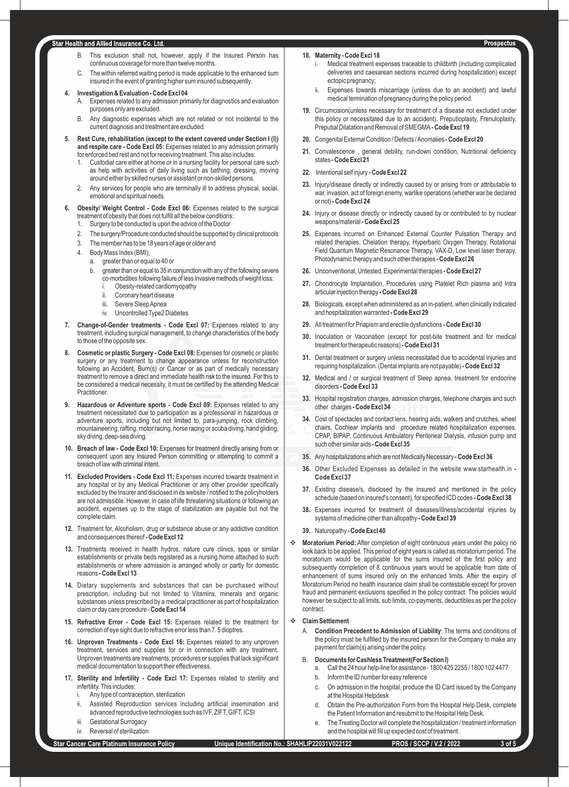# Star Health and Allied Insurance Co. Ltd.

- B. This exclusion shall not, however, apply if the Insured Person has continuous coverage for more than twelve months.
- C. The within referred waiting period is made applicable to the enhanced sum insured in the event of granting higher sum insured subsequently.

# **4. Investigation & Evaluation - Code Excl 04**

- A. Expenses related to any admission primarily for diagnostics and evaluation purposes only are excluded.
- B. Any diagnostic expenses which are not related or not incidental to the current diagnosis and treatment are excluded.
- **5. Rest Cure, rehabilitation (except to the extent covered under Section I (l)) and respite care - Code Excl 05:** Expenses related to any admission primarily for enforced bed rest and not for receiving treatment. This also includes:
	- 1. Custodial care either at home or in a nursing facility for personal care such as help with activities of daily living such as bathing, dressing, moving around either by skilled nurses or assistant or non-skilled persons.
	- 2. Any services for people who are terminally ill to address physical, social, emotional and spiritual needs.
- **6. Obesity/ Weight Control Code Excl 06:** Expenses related to the surgical treatment of obesity that does not fulfill all the below conditions:
	- Surgery to be conducted is upon the advice of the Doctor
	- The surgery/Procedure conducted should be supported by clinical protocols
	- 3. The member has to be 18 years of age or older and
	- 4. Body Mass Index (BMI);
	- a. greater than or equal to 40 or
		- b. greater than or equal to 35 in conjunction with any of the following severe co-morbidities following failure of less invasive methods of weight loss:
			- Obesity-related cardiomyopathy
			- ii. Coronary heart disease
			- iii. Severe Sleep Apnea
			- iv. Uncontrolled Type2 Diabetes
- 7. Change-of-Gender treatments Code Excl 07: Expenses related to any treatment, including surgical management, to change characteristics of the body to those of the opposite sex.
- **8. Cosmetic or plastic Surgery Code Excl 08:** Expenses for cosmetic or plastic surgery or any treatment to change appearance unless for reconstruction following an Accident, Burn(s) or Cancer or as part of medically necessary treatment to remove a direct and immediate health risk to the insured. For this to be considered a medical necessity, it must be certified by the attending Medical **Practitioner.**
- **9. Hazardous or Adventure sports Code Excl 09: Expenses related to any** treatment necessitated due to participation as a professional in hazardous or adventure sports, including but not limited to, para-jumping, rock climbing, mountaineering, rafting, motor racing, horse racing or scuba diving, hand gliding, sky diving, deep-sea diving.
- **10. Breach of law Code Excl 10:** Expenses for treatment directly arising from or consequent upon any Insured Person committing or attempting to commit a breach of law with criminal intent.
- **11. Excluded Providers Code Excl 11:** Expenses incurred towards treatment in any hospital or by any Medical Practitioner or any other provider specifically excluded by the Insurer and disclosed in its website / notified to the policyholders are not admissible. However, in case of life threatening situations or following an accident, expenses up to the stage of stabilization are payable but not the complete claim.
- **12.** Treatment for, Alcoholism, drug or substance abuse or any addictive condition and consequences thereof **- Code Excl 12**
- **13.** Treatments received in health hydros, nature cure clinics, spas or similar establishments or private beds registered as a nursing home attached to such establishments or where admission is arranged wholly or partly for domestic reasons **- Code Excl 13**
- **14.** Dietary supplements and substances that can be purchased without prescription, including but not limited to Vitamins, minerals and organic substances unless prescribed by a medical practitioner as part of hospitalization claim or day care procedure - **Code Excl 14**
- **15. Refractive Error Code Excl 15:** Expenses related to the treatment for correction of eye sight due to refractive error less than 7. 5 dioptres.
- **16. Unproven Treatments Code Excl 16:** Expenses related to any unproven treatment, services and supplies for or in connection with any treatment. Unproven treatments are treatments, procedures or supplies that lack significant medical documentation to support their effectiveness.
- 17. Sterility and Infertility Code Excl 17: Expenses related to sterility and infertility. This includes:
	- Any type of contraception, sterilization
	- Assisted Reproduction services including artificial insemination and advanced reproductive technologies such as IVF, ZIFT, GIFT, ICSI
	- iii. Gestational Surrogacy
	- iv. Reversal of sterilization
- Medical treatment expenses traceable to childbirth (including complicated deliveries and caesarean sections incurred during hospitalization) except ectopic pregnancy;
- ii. Expenses towards miscarriage (unless due to an accident) and lawful medical termination of pregnancy during the policy period.
- **19.** Circumcision(unless necessary for treatment of a disease not excluded under this policy or necessitated due to an accident), Preputioplasty, Frenuloplasty, Preputial Dilatation and Removal of SMEGMA**- Code Excl 19**
- **20.** Congenital External Condition / Defects / Anomalies  **Code Excl 20**
- **21.** Convalescence , general debility, run-down condition, Nutritional deficiency states **- Code Excl 21**
- **22.** Intentional self injury  **Code Excl 22**
- **23.** Injury/disease directly or indirectly caused by or arising from or attributable to war, invasion, act of foreign enemy, warlike operations (whether war be declared or not) **- Code Excl 24**
- **24.** Injury or disease directly or indirectly caused by or contributed to by nuclear weapons/material **- Code Excl 25**
- **25.** Expenses incurred on Enhanced External Counter Pulsation Therapy and related therapies, Chelation therapy, Hyperbaric Oxygen Therapy, Rotational Field Quantum Magnetic Resonance Therapy, VAX-D, Low level laser therapy, Photodynamic therapy and such other therapies **- Code Excl 26**
- **26.** Unconventional, Untested, Experimental therapies  **Code Excl 27**
- **27.** Chondrocyte Implantation, Procedures using Platelet Rich plasma and Intra articular injection therapy **- Code Excl 28**
- **28.** Biologicals, except when administered as an in-patient, when clinically indicated and hospitalization warranted **- Code Excl 29**
- **29.** All treatment for Priapism and erectile dysfunctions  **Code Excl 30**
- **30.** Inoculation or Vaccination (except for post-bite treatment and for medical treatment for therapeutic reasons) **- Code Excl 31**
- **31.** Dental treatment or surgery unless necessitated due to accidental injuries and requiring hospitalization. (Dental implants are not payable) **- Code Excl 32**
- **32.** Medical and / or surgical treatment of Sleep apnea, treatment for endocrine disorders **- Code Excl 33**
- **33.** Hospital registration charges, admission charges, telephone charges and such other charges **- Code Excl 34**
- **34.** Cost of spectacles and contact lens, hearing aids, walkers and crutches, wheel chairs, Cochlear implants and procedure related hospitalization expenses, CPAP, BIPAP, Continuous Ambulatory Peritoneal Dialysis, infusion pump and such other similar aids **- Code Excl 35**
- **35.** Any hospitalizations which are not Medically Necessary  **Code Excl 36**
- **36.** Other Excluded Expenses as detailed in the website www.starhealth.in  **Code Excl 37**
- **37.** Existing disease/s, disclosed by the insured and mentioned in the policy schedule (based on insured's consent), for specified ICD codes **- Code Excl 38**
- **38.** Expenses incurred for treatment of diseases/illness/accidental injuries by systems of medicine other than allopathy **- Code Excl 39**
- **39.** Naturopathy  **Code Excl 40**
- \* **Moratorium Period:** After completion of eight continuous years under the policy no look back to be applied. This period of eight years is called as moratorium period. The moratorium would be applicable for the sums insured of the first policy and subsequently completion of 8 continuous years would be applicable from date of enhancement of sums insured only on the enhanced limits. After the expiry of Moratorium Period no health insurance claim shall be contestable except for proven fraud and permanent exclusions specified in the policy contract. The policies would however be subject to all limits, sub limits, co-payments, deductibles as per the policy contract.

# v **Claim Settlement**

A. **Condition Precedent to Admission of Liability**: The terms and conditions of the policy must be fulfilled by the insured person for the Company to make any payment for claim(s) arising under the policy.

## B. **Documents for Cashless Treatment(For Section I)**

- a. Call the 24 hour help-line for assistance 1800 425 2255 / 1800 102 4477
- b. Inform the ID number for easy reference
- c. On admission in the hospital, produce the ID Card issued by the Company at the Hospital Helpdesk
- d. Obtain the Pre-authorization Form from the Hospital Help Desk, complete the Patient Information and resubmit to the Hospital Help Desk.
- e. The Treating Doctor will complete the hospitalization / treatment information and the hospital will fill up expected cost of treatment.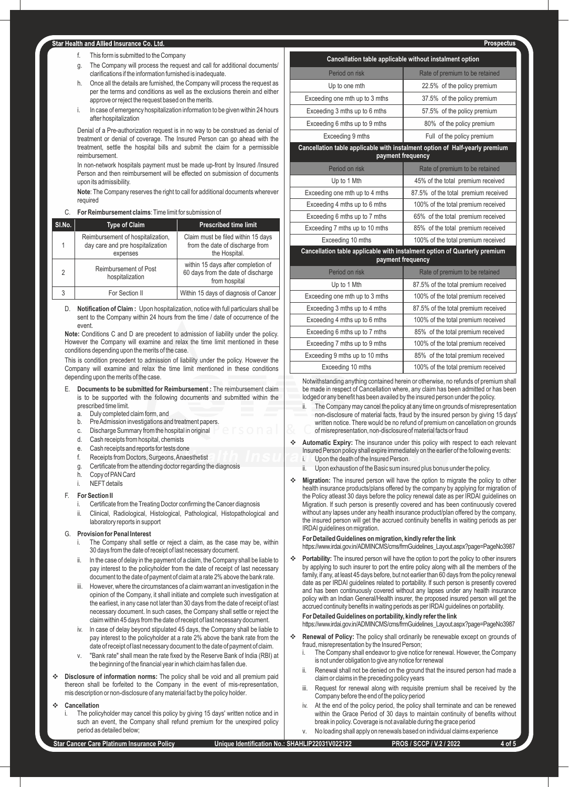## tar Health and Allied Insurance Co. Ltd.

- f. This form is submitted to the Company
- g. The Company will process the request and call for additional documents/ clarifications if the information furnished is inadequate.
- h. Once all the details are furnished, the Company will process the request as per the terms and conditions as well as the exclusions therein and either approve or reject the request based on the merits.
- i. In case of emergency hospitalization information to be given within 24 hours after hospitalization

Denial of a Pre-authorization request is in no way to be construed as denial of treatment or denial of coverage. The Insured Person can go ahead with the treatment, settle the hospital bills and submit the claim for a permissible reimbursement.

In non-network hospitals payment must be made up-front by Insured /Insured Person and then reimbursement will be effected on submission of documents upon its admissibility.

**Note**: The Company reserves the right to call for additional documents wherever required

# C. **For Reimbursement claims**: Time limit for submission of

| SI.No.         | <b>Type of Claim</b>                                                              | <b>Prescribed time limit</b>                                                              |
|----------------|-----------------------------------------------------------------------------------|-------------------------------------------------------------------------------------------|
|                | Reimbursement of hospitalization.<br>day care and pre hospitalization<br>expenses | Claim must be filed within 15 days<br>from the date of discharge from<br>the Hospital.    |
| $\mathfrak{D}$ | Reimbursement of Post<br>hospitalization                                          | within 15 days after completion of<br>60 days from the date of discharge<br>from hospital |
|                | For Section II                                                                    | Within 15 days of diagnosis of Cancer                                                     |

D. **Notification of Claim :** Upon hospitalization, notice with full particulars shall be sent to the Company within 24 hours from the time / date of occurrence of the event.

**Note:** Conditions C and D are precedent to admission of liability under the policy. However the Company will examine and relax the time limit mentioned in these conditions depending upon the merits of the case.

This is condition precedent to admission of liability under the policy. However the Company will examine and relax the time limit mentioned in these conditions depending upon the merits of the case.

- E. **Documents to be submitted for Reimbursement :** The reimbursement claim is to be supported with the following documents and submitted within the prescribed time limit.
	- a. Duly completed claim form, and
	- b. Pre Admission investigations and treatment papers.
	- c. Discharge Summary from the hospital in original
	- d. Cash receipts from hospital, chemists
	- e. Cash receipts and reports for tests done
	- f. Receipts from Doctors, Surgeons, Anaesthetist
	- g. Certificate from the attending doctor regarding the diagnosis
	- h. Copy of PAN Card
	- i. NEFTdetails

## F. **For Section II**

- i. Certificate from the Treating Doctor confirming the Cancer diagnosis
- ii. Clinical, Radiological, Histological, Pathological, Histopathological and laboratory reports in support

## G. **Provision for Penal Interest**

- The Company shall settle or reject a claim, as the case may be, within 30 days from the date of receipt of last necessary document.
- In the case of delay in the payment of a claim, the Company shall be liable to pay interest to the policyholder from the date of receipt of last necessary document to the date of payment of claim at a rate 2% above the bank rate.
- iii. However, where the circumstances of a claim warrant an investigation in the opinion of the Company, it shall initiate and complete such investigation at the earliest, in any case not later than 30 days from the date of receipt of last necessary document. ln such cases, the Company shall settle or reject the claim within 45 days from the date of receipt of last necessary document.
- iv. ln case of delay beyond stipulated 45 days, the Company shall be liable to pay interest to the policyholder at a rate 2% above the bank rate from the date of receipt of last necessary document to the date of payment of claim.
- v. "Bank rate" shall mean the rate fixed by the Reserve Bank of lndia (RBI) at the beginning of the financial year in which claim has fallen due.
- Disclosure of information norms: The policy shall be void and all premium paid thereon shall be forfeited to the Company in the event of mis-representation, mis description or non-disclosure of any material fact by the policy holder.

#### **Cancellation**

The policyholder may cancel this policy by giving 15 days' written notice and in such an event, the Company shall refund premium for the unexpired policy period as detailed below;

| Cancellation table applicable without instalment option                                          |                                     |  |  |
|--------------------------------------------------------------------------------------------------|-------------------------------------|--|--|
| Period on risk                                                                                   | Rate of premium to be retained      |  |  |
| Up to one mth                                                                                    | 22.5% of the policy premium         |  |  |
| Exceeding one mth up to 3 mths                                                                   | 37.5% of the policy premium         |  |  |
| Exceeding 3 mths up to 6 mths                                                                    | 57.5% of the policy premium         |  |  |
| Exceeding 6 mths up to 9 mths                                                                    | 80% of the policy premium           |  |  |
| Exceeding 9 mths                                                                                 | Full of the policy premium          |  |  |
| Cancellation table applicable with instalment option of Half-yearly premium<br>payment frequency |                                     |  |  |
| Period on risk                                                                                   | Rate of premium to be retained      |  |  |
| Up to 1 Mth                                                                                      | 45% of the total premium received   |  |  |
| Exceeding one mth up to 4 mths                                                                   | 87.5% of the total premium received |  |  |
| Exceeding 4 mths up to 6 mths                                                                    | 100% of the total premium received  |  |  |
| Exceeding 6 mths up to 7 mths                                                                    | 65% of the total premium received   |  |  |
| Exceeding 7 mths up to 10 mths                                                                   | 85% of the total premium received   |  |  |
| Exceeding 10 mths                                                                                | 100% of the total premium received  |  |  |
| Cancellation table applicable with instalment option of Quarterly premium<br>payment frequency   |                                     |  |  |
| Period on risk                                                                                   | Rate of premium to be retained      |  |  |
| Up to 1 Mth                                                                                      | 87.5% of the total premium received |  |  |
| Exceeding one mth up to 3 mths                                                                   | 100% of the total premium received  |  |  |
| Exceeding 3 mths up to 4 mths                                                                    | 87.5% of the total premium received |  |  |
| Exceeding 4 mths up to 6 mths                                                                    | 100% of the total premium received  |  |  |
| Exceeding 6 mths up to 7 mths                                                                    | 85% of the total premium received   |  |  |
| Exceeding 7 mths up to 9 mths                                                                    | 100% of the total premium received  |  |  |

Notwithstanding anything contained herein or otherwise, no refunds of premium shall be made in respect of Cancellation where, any claim has been admitted or has been lodged or any benefit has been availed by the insured person under the policy.

Exceeding 9 mths up to 10 mths | 85% of the total premium received Exceeding 10 mths 100% of the total premium received

- ii. The Company may cancel the policy at any time on grounds of misrepresentation non-disclosure of material facts, fraud by the insured person by giving 15 days' written notice. There would be no refund of premium on cancellation on grounds of misrepresentation, non-disclosure of material facts or fraud
- v **Automatic Expiry:** The insurance under this policy with respect to each relevant Insured Person policy shall expire immediately on the earlier of the following events: i. Upon the death of the Insured Person.
	- Upon exhaustion of the Basic sum insured plus bonus under the policy.
- **\*** Migration: The insured person will have the option to migrate the policy to other health insurance products/plans offered by the company by applying for migration of the Policy atleast 30 days before the policy renewal date as per IRDAI guidelines on Migration. lf such person is presently covered and has been continuously covered without any lapses under any health insurance product/plan offered by the company, the insured person will get the accrued continuity benefits in waiting periods as per IRDAI guidelines on migration.

# **For Detailed Guidelines on migration, kindly refer the link**

https://www.irdai.gov.in/ADMINCMS/cms/frmGuidelines\_Layout.aspx?page=PageNo3987

\* Portability: The insured person will have the option to port the policy to other insurers by applying to such insurer to port the entire policy along with all the members of the family, if any, at least 45 days before, but not earlier than 60 days from the policy renewal date as per IRDAI guidelines related to portability. lf such person is presently covered and has been continuously covered without any lapses under any health insurance policy with an lndian General/Health insurer, the proposed insured person will get the accrued continuity benefits in waiting periods as per IRDAI guidelines on portability. **For Detailed Guidelines on portability, kindly refer the link**

https://www.irdai.gov.in/ADMINCMS/cms/frmGuidelines\_Layout.aspx?page=PageNo3987 \* Renewal of Policy: The policy shall ordinarily be renewable except on grounds of

- fraud, misrepresentation by the Insured Person; i. The Company shall endeavor to give notice for renewal. However, the Company is not under obligation to give any notice for renewal
- Renewal shall not be denied on the ground that the insured person had made a claim or claims in the preceding policy years
- iii. Request for renewal along with requisite premium shall be received by the Company before the end of the policy period
- At the end of the policy period, the policy shall terminate and can be renewed within the Grace Period of 30 days to maintain continuity of benefits without break in policy. Coverage is not available during the grace period
- No loading shall apply on renewals based on individual claims experience